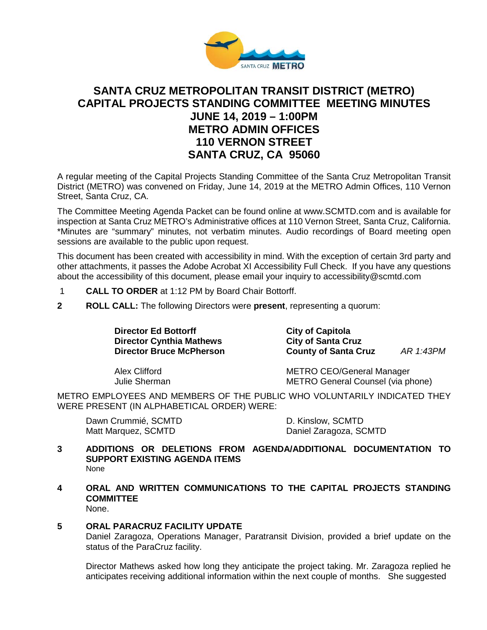

# **SANTA CRUZ METROPOLITAN TRANSIT DISTRICT (METRO) CAPITAL PROJECTS STANDING COMMITTEE MEETING MINUTES JUNE 14, 2019 – 1:00PM METRO ADMIN OFFICES 110 VERNON STREET SANTA CRUZ, CA 95060**

A regular meeting of the Capital Projects Standing Committee of the Santa Cruz Metropolitan Transit District (METRO) was convened on Friday, June 14, 2019 at the METRO Admin Offices, 110 Vernon Street, Santa Cruz, CA.

The Committee Meeting Agenda Packet can be found online at www.SCMTD.com and is available for inspection at Santa Cruz METRO's Administrative offices at 110 Vernon Street, Santa Cruz, California. \*Minutes are "summary" minutes, not verbatim minutes. Audio recordings of Board meeting open sessions are available to the public upon request.

This document has been created with accessibility in mind. With the exception of certain 3rd party and other attachments, it passes the Adobe Acrobat XI Accessibility Full Check. If you have any questions about the accessibility of this document, please email your inquiry to accessibility@scmtd.com

- 1 **CALL TO ORDER** at 1:12 PM by Board Chair Bottorff.
- **2 ROLL CALL:** The following Directors were **present**, representing a quorum:

**Director Ed Bottorff Capitola**<br>
Director Cynthia Mathews City of Santa Cruz **Director Cynthia Mathews<br>Director Bruce McPherson** 

**County of Santa Cruz** *AR 1:43PM* 

Alex Clifford METRO CEO/General Manager Julie Sherman METRO General Counsel (via phone)

METRO EMPLOYEES AND MEMBERS OF THE PUBLIC WHO VOLUNTARILY INDICATED THEY WERE PRESENT (IN ALPHABETICAL ORDER) WERE:

Dawn Crummié, SCMTD D. Kinslow, SCMTD Matt Marquez, SCMTD Daniel Zaragoza, SCMTD

- **3 ADDITIONS OR DELETIONS FROM AGENDA/ADDITIONAL DOCUMENTATION TO SUPPORT EXISTING AGENDA ITEMS**  None
- **4 ORAL AND WRITTEN COMMUNICATIONS TO THE CAPITAL PROJECTS STANDING COMMITTEE** None.

# **5 ORAL PARACRUZ FACILITY UPDATE**

Daniel Zaragoza, Operations Manager, Paratransit Division, provided a brief update on the status of the ParaCruz facility.

Director Mathews asked how long they anticipate the project taking. Mr. Zaragoza replied he anticipates receiving additional information within the next couple of months. She suggested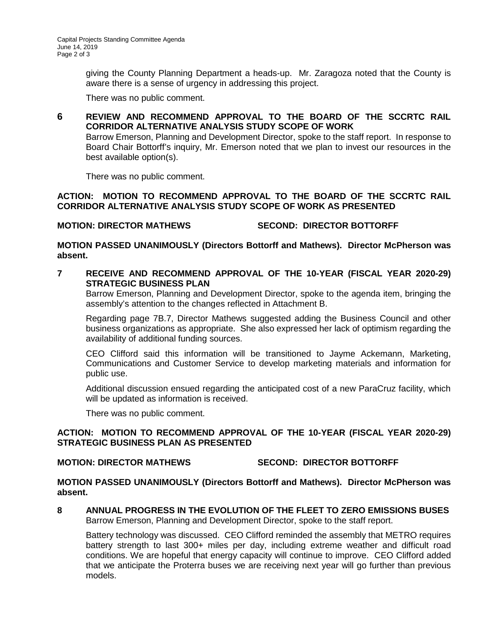giving the County Planning Department a heads-up. Mr. Zaragoza noted that the County is aware there is a sense of urgency in addressing this project.

There was no public comment.

# **6 REVIEW AND RECOMMEND APPROVAL TO THE BOARD OF THE SCCRTC RAIL CORRIDOR ALTERNATIVE ANALYSIS STUDY SCOPE OF WORK**

Barrow Emerson, Planning and Development Director, spoke to the staff report. In response to Board Chair Bottorff's inquiry, Mr. Emerson noted that we plan to invest our resources in the best available option(s).

There was no public comment.

#### **ACTION: MOTION TO RECOMMEND APPROVAL TO THE BOARD OF THE SCCRTC RAIL CORRIDOR ALTERNATIVE ANALYSIS STUDY SCOPE OF WORK AS PRESENTED**

# **MOTION: DIRECTOR MATHEWS SECOND: DIRECTOR BOTTORFF**

### **MOTION PASSED UNANIMOUSLY (Directors Bottorff and Mathews). Director McPherson was absent.**

#### **7 RECEIVE AND RECOMMEND APPROVAL OF THE 10-YEAR (FISCAL YEAR 2020-29) STRATEGIC BUSINESS PLAN**

Barrow Emerson, Planning and Development Director, spoke to the agenda item, bringing the assembly's attention to the changes reflected in Attachment B.

Regarding page 7B.7, Director Mathews suggested adding the Business Council and other business organizations as appropriate. She also expressed her lack of optimism regarding the availability of additional funding sources.

CEO Clifford said this information will be transitioned to Jayme Ackemann, Marketing, Communications and Customer Service to develop marketing materials and information for public use.

Additional discussion ensued regarding the anticipated cost of a new ParaCruz facility, which will be updated as information is received.

There was no public comment.

### **ACTION: MOTION TO RECOMMEND APPROVAL OF THE 10-YEAR (FISCAL YEAR 2020-29) STRATEGIC BUSINESS PLAN AS PRESENTED**

#### **MOTION: DIRECTOR MATHEWS SECOND: DIRECTOR BOTTORFF**

**MOTION PASSED UNANIMOUSLY (Directors Bottorff and Mathews). Director McPherson was absent.**

**8 ANNUAL PROGRESS IN THE EVOLUTION OF THE FLEET TO ZERO EMISSIONS BUSES**  Barrow Emerson, Planning and Development Director, spoke to the staff report.

Battery technology was discussed. CEO Clifford reminded the assembly that METRO requires battery strength to last 300+ miles per day, including extreme weather and difficult road conditions. We are hopeful that energy capacity will continue to improve. CEO Clifford added that we anticipate the Proterra buses we are receiving next year will go further than previous models.